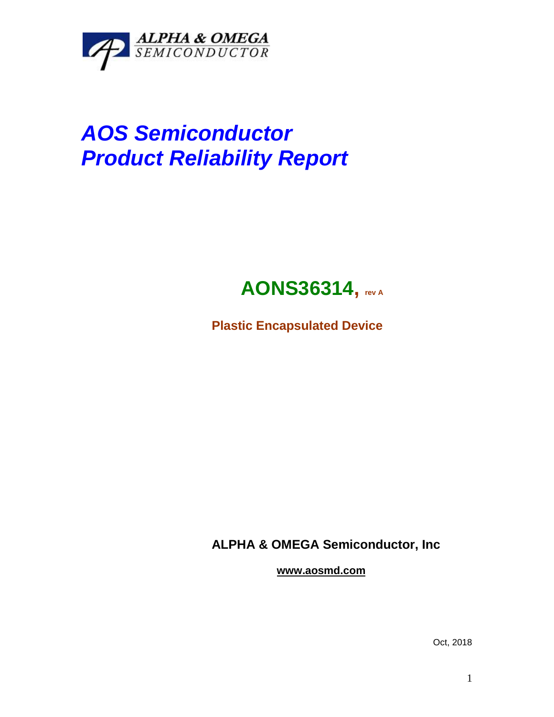

# *AOS Semiconductor Product Reliability Report*

## **AONS36314, rev <sup>A</sup>**

**Plastic Encapsulated Device**

**ALPHA & OMEGA Semiconductor, Inc**

**www.aosmd.com**

Oct, 2018